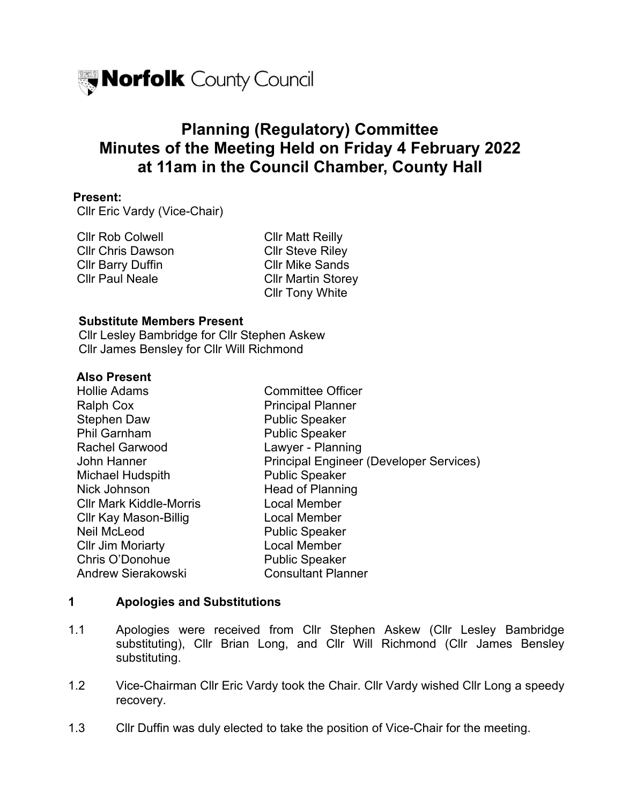

# **Planning (Regulatory) Committee Minutes of the Meeting Held on Friday 4 February 2022 at 11am in the Council Chamber, County Hall**

#### **Present:**

Cllr Eric Vardy (Vice-Chair)

Cllr Rob Colwell **Cllr Matt Reilly** Cllr Chris Dawson Cllr Steve Riley Cllr Barry Duffin Cllr Mike Sands Cllr Paul Neale Cllr Martin Storey

Cllr Tony White

#### **Substitute Members Present**

Cllr Lesley Bambridge for Cllr Stephen Askew Cllr James Bensley for Cllr Will Richmond

#### **Also Present**

| <b>Committee Officer</b>                       |
|------------------------------------------------|
| <b>Principal Planner</b>                       |
| <b>Public Speaker</b>                          |
| <b>Public Speaker</b>                          |
| Lawyer - Planning                              |
| <b>Principal Engineer (Developer Services)</b> |
| <b>Public Speaker</b>                          |
| <b>Head of Planning</b>                        |
| Local Member                                   |
| Local Member                                   |
| <b>Public Speaker</b>                          |
| Local Member                                   |
| <b>Public Speaker</b>                          |
| <b>Consultant Planner</b>                      |
|                                                |

### **1 Apologies and Substitutions**

- 1.1 Apologies were received from Cllr Stephen Askew (Cllr Lesley Bambridge substituting), Cllr Brian Long, and Cllr Will Richmond (Cllr James Bensley substituting.
- 1.2 Vice-Chairman Cllr Eric Vardy took the Chair. Cllr Vardy wished Cllr Long a speedy recovery.
- 1.3 Cllr Duffin was duly elected to take the position of Vice-Chair for the meeting.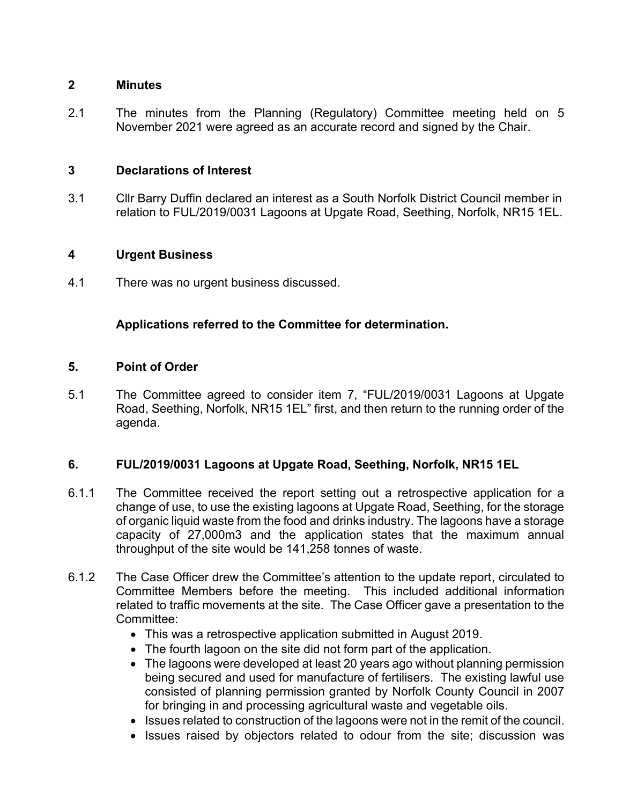#### **2 Minutes**

2.1 The minutes from the Planning (Regulatory) Committee meeting held on 5 November 2021 were agreed as an accurate record and signed by the Chair.

### **3 Declarations of Interest**

3.1 Cllr Barry Duffin declared an interest as a South Norfolk District Council member in relation to FUL/2019/0031 Lagoons at Upgate Road, Seething, Norfolk, NR15 1EL.

# **4 Urgent Business**

4.1 There was no urgent business discussed.

# **Applications referred to the Committee for determination.**

## **5. Point of Order**

5.1 The Committee agreed to consider item 7, "FUL/2019/0031 Lagoons at Upgate Road, Seething, Norfolk, NR15 1EL" first, and then return to the running order of the agenda.

# **6. FUL/2019/0031 Lagoons at Upgate Road, Seething, Norfolk, NR15 1EL**

- 6.1.1 The Committee received the report setting out a retrospective application for a change of use, to use the existing lagoons at Upgate Road, Seething, for the storage of organic liquid waste from the food and drinks industry. The lagoons have a storage capacity of 27,000m3 and the application states that the maximum annual throughput of the site would be 141,258 tonnes of waste.
- 6.1.2 The Case Officer drew the Committee's attention to the update report, circulated to Committee Members before the meeting. This included additional information related to traffic movements at the site. The Case Officer gave a presentation to the Committee:
	- This was a retrospective application submitted in August 2019.
	- The fourth lagoon on the site did not form part of the application.
	- The lagoons were developed at least 20 years ago without planning permission being secured and used for manufacture of fertilisers. The existing lawful use consisted of planning permission granted by Norfolk County Council in 2007 for bringing in and processing agricultural waste and vegetable oils.
	- Issues related to construction of the lagoons were not in the remit of the council.
	- Issues raised by objectors related to odour from the site; discussion was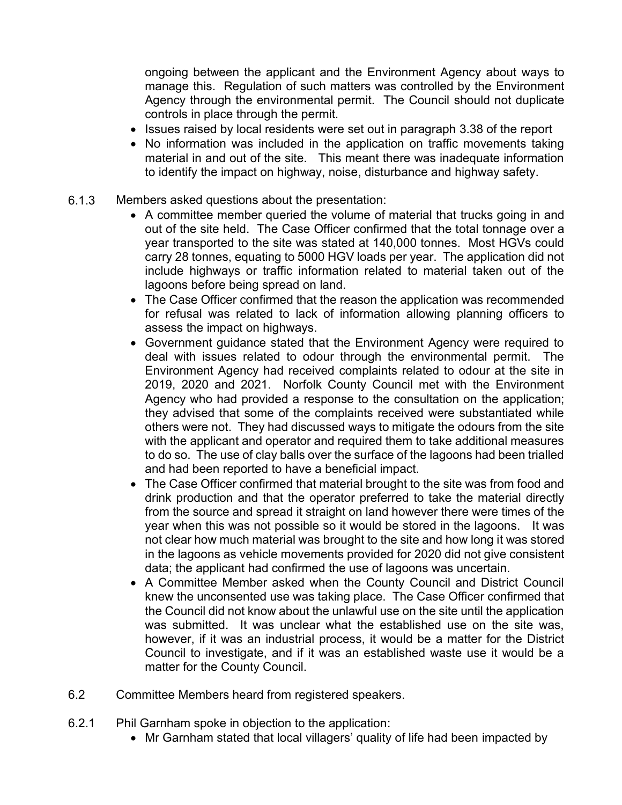ongoing between the applicant and the Environment Agency about ways to manage this. Regulation of such matters was controlled by the Environment Agency through the environmental permit. The Council should not duplicate controls in place through the permit.

- Issues raised by local residents were set out in paragraph 3.38 of the report
- No information was included in the application on traffic movements taking material in and out of the site. This meant there was inadequate information to identify the impact on highway, noise, disturbance and highway safety.
- 6.1.3 Members asked questions about the presentation:
	- A committee member queried the volume of material that trucks going in and out of the site held. The Case Officer confirmed that the total tonnage over a year transported to the site was stated at 140,000 tonnes. Most HGVs could carry 28 tonnes, equating to 5000 HGV loads per year. The application did not include highways or traffic information related to material taken out of the lagoons before being spread on land.
	- The Case Officer confirmed that the reason the application was recommended for refusal was related to lack of information allowing planning officers to assess the impact on highways.
	- Government guidance stated that the Environment Agency were required to deal with issues related to odour through the environmental permit. The Environment Agency had received complaints related to odour at the site in 2019, 2020 and 2021. Norfolk County Council met with the Environment Agency who had provided a response to the consultation on the application; they advised that some of the complaints received were substantiated while others were not. They had discussed ways to mitigate the odours from the site with the applicant and operator and required them to take additional measures to do so. The use of clay balls over the surface of the lagoons had been trialled and had been reported to have a beneficial impact.
	- The Case Officer confirmed that material brought to the site was from food and drink production and that the operator preferred to take the material directly from the source and spread it straight on land however there were times of the year when this was not possible so it would be stored in the lagoons. It was not clear how much material was brought to the site and how long it was stored in the lagoons as vehicle movements provided for 2020 did not give consistent data; the applicant had confirmed the use of lagoons was uncertain.
	- A Committee Member asked when the County Council and District Council knew the unconsented use was taking place. The Case Officer confirmed that the Council did not know about the unlawful use on the site until the application was submitted. It was unclear what the established use on the site was, however, if it was an industrial process, it would be a matter for the District Council to investigate, and if it was an established waste use it would be a matter for the County Council.
- 6.2 Committee Members heard from registered speakers.
- 6.2.1 Phil Garnham spoke in objection to the application:
	- Mr Garnham stated that local villagers' quality of life had been impacted by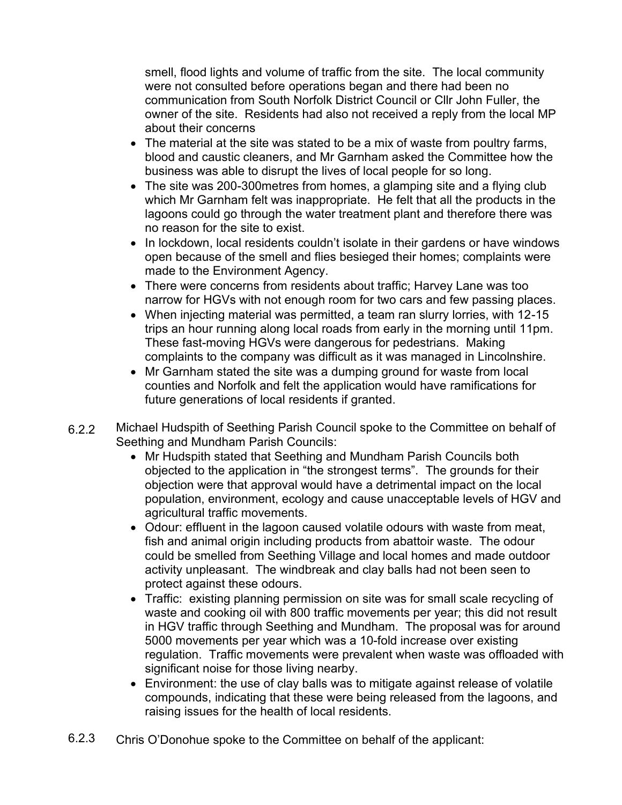smell, flood lights and volume of traffic from the site. The local community were not consulted before operations began and there had been no communication from South Norfolk District Council or Cllr John Fuller, the owner of the site. Residents had also not received a reply from the local MP about their concerns

- The material at the site was stated to be a mix of waste from poultry farms, blood and caustic cleaners, and Mr Garnham asked the Committee how the business was able to disrupt the lives of local people for so long.
- The site was 200-300 metres from homes, a glamping site and a flying club which Mr Garnham felt was inappropriate. He felt that all the products in the lagoons could go through the water treatment plant and therefore there was no reason for the site to exist.
- In lockdown, local residents couldn't isolate in their gardens or have windows open because of the smell and flies besieged their homes; complaints were made to the Environment Agency.
- There were concerns from residents about traffic; Harvey Lane was too narrow for HGVs with not enough room for two cars and few passing places.
- When injecting material was permitted, a team ran slurry lorries, with 12-15 trips an hour running along local roads from early in the morning until 11pm. These fast-moving HGVs were dangerous for pedestrians. Making complaints to the company was difficult as it was managed in Lincolnshire.
- Mr Garnham stated the site was a dumping ground for waste from local counties and Norfolk and felt the application would have ramifications for future generations of local residents if granted.
- 6.22 Michael Hudspith of Seething Parish Council spoke to the Committee on behalf of Seething and Mundham Parish Councils:
	- Mr Hudspith stated that Seething and Mundham Parish Councils both objected to the application in "the strongest terms". The grounds for their objection were that approval would have a detrimental impact on the local population, environment, ecology and cause unacceptable levels of HGV and agricultural traffic movements.
	- Odour: effluent in the lagoon caused volatile odours with waste from meat, fish and animal origin including products from abattoir waste. The odour could be smelled from Seething Village and local homes and made outdoor activity unpleasant. The windbreak and clay balls had not been seen to protect against these odours.
	- Traffic: existing planning permission on site was for small scale recycling of waste and cooking oil with 800 traffic movements per year; this did not result in HGV traffic through Seething and Mundham. The proposal was for around 5000 movements per year which was a 10-fold increase over existing regulation. Traffic movements were prevalent when waste was offloaded with significant noise for those living nearby.
	- Environment: the use of clay balls was to mitigate against release of volatile compounds, indicating that these were being released from the lagoons, and raising issues for the health of local residents.
- 6.2.3 Chris O'Donohue spoke to the Committee on behalf of the applicant: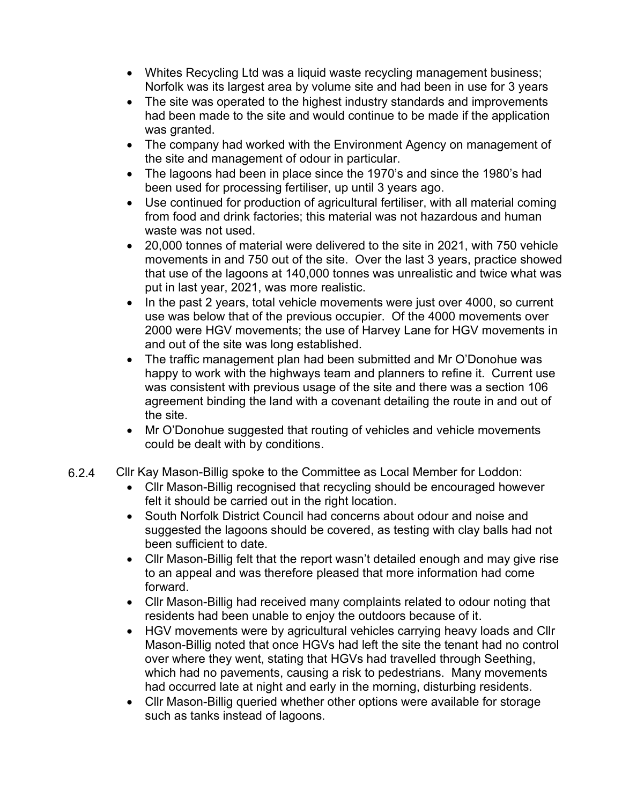- Whites Recycling Ltd was a liquid waste recycling management business; Norfolk was its largest area by volume site and had been in use for 3 years
- The site was operated to the highest industry standards and improvements had been made to the site and would continue to be made if the application was granted.
- The company had worked with the Environment Agency on management of the site and management of odour in particular.
- The lagoons had been in place since the 1970's and since the 1980's had been used for processing fertiliser, up until 3 years ago.
- Use continued for production of agricultural fertiliser, with all material coming from food and drink factories; this material was not hazardous and human waste was not used.
- 20,000 tonnes of material were delivered to the site in 2021, with 750 vehicle movements in and 750 out of the site. Over the last 3 years, practice showed that use of the lagoons at 140,000 tonnes was unrealistic and twice what was put in last year, 2021, was more realistic.
- In the past 2 years, total vehicle movements were just over 4000, so current use was below that of the previous occupier. Of the 4000 movements over 2000 were HGV movements; the use of Harvey Lane for HGV movements in and out of the site was long established.
- The traffic management plan had been submitted and Mr O'Donohue was happy to work with the highways team and planners to refine it. Current use was consistent with previous usage of the site and there was a section 106 agreement binding the land with a covenant detailing the route in and out of the site.
- Mr O'Donohue suggested that routing of vehicles and vehicle movements could be dealt with by conditions.
- 6.2.4 Cllr Kay Mason-Billig spoke to the Committee as Local Member for Loddon:
	- Cllr Mason-Billig recognised that recycling should be encouraged however felt it should be carried out in the right location.
	- South Norfolk District Council had concerns about odour and noise and suggested the lagoons should be covered, as testing with clay balls had not been sufficient to date.
	- Cllr Mason-Billig felt that the report wasn't detailed enough and may give rise to an appeal and was therefore pleased that more information had come forward.
	- Cllr Mason-Billig had received many complaints related to odour noting that residents had been unable to enjoy the outdoors because of it.
	- HGV movements were by agricultural vehicles carrying heavy loads and Cllr Mason-Billig noted that once HGVs had left the site the tenant had no control over where they went, stating that HGVs had travelled through Seething, which had no pavements, causing a risk to pedestrians. Many movements had occurred late at night and early in the morning, disturbing residents.
	- Cllr Mason-Billig queried whether other options were available for storage such as tanks instead of lagoons.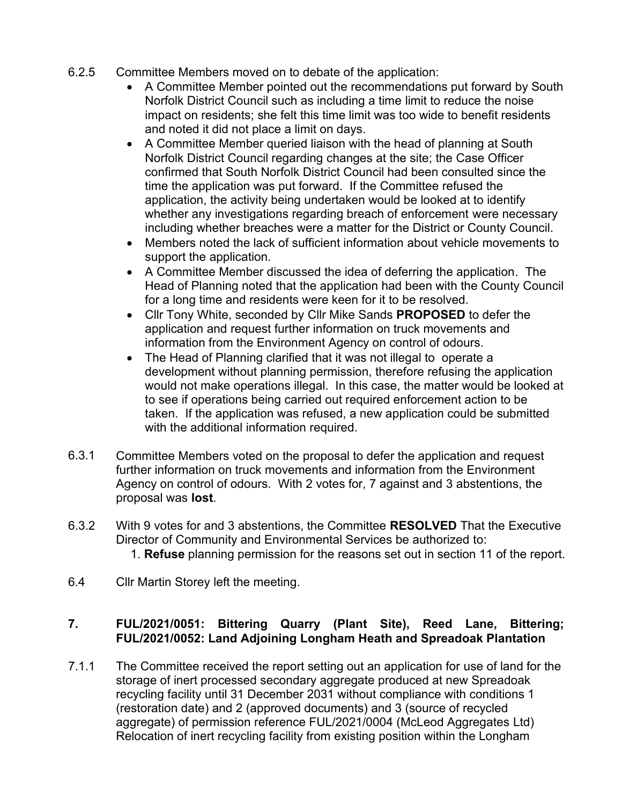- 6.2.5 Committee Members moved on to debate of the application:
	- A Committee Member pointed out the recommendations put forward by South Norfolk District Council such as including a time limit to reduce the noise impact on residents; she felt this time limit was too wide to benefit residents and noted it did not place a limit on days.
	- A Committee Member queried liaison with the head of planning at South Norfolk District Council regarding changes at the site; the Case Officer confirmed that South Norfolk District Council had been consulted since the time the application was put forward. If the Committee refused the application, the activity being undertaken would be looked at to identify whether any investigations regarding breach of enforcement were necessary including whether breaches were a matter for the District or County Council.
	- Members noted the lack of sufficient information about vehicle movements to support the application.
	- A Committee Member discussed the idea of deferring the application. The Head of Planning noted that the application had been with the County Council for a long time and residents were keen for it to be resolved.
	- Cllr Tony White, seconded by Cllr Mike Sands **PROPOSED** to defer the application and request further information on truck movements and information from the Environment Agency on control of odours.
	- The Head of Planning clarified that it was not illegal to operate a development without planning permission, therefore refusing the application would not make operations illegal. In this case, the matter would be looked at to see if operations being carried out required enforcement action to be taken. If the application was refused, a new application could be submitted with the additional information required.
- 6.3.1 Committee Members voted on the proposal to defer the application and request further information on truck movements and information from the Environment Agency on control of odours. With 2 votes for, 7 against and 3 abstentions, the proposal was **lost**.
- 6.3.2 With 9 votes for and 3 abstentions, the Committee **RESOLVED** That the Executive Director of Community and Environmental Services be authorized to: 1. **Refuse** planning permission for the reasons set out in section 11 of the report.
- 6.4 Cllr Martin Storey left the meeting.

# **7. FUL/2021/0051: Bittering Quarry (Plant Site), Reed Lane, Bittering; FUL/2021/0052: Land Adjoining Longham Heath and Spreadoak Plantation**

7.1.1 The Committee received the report setting out an application for use of land for the storage of inert processed secondary aggregate produced at new Spreadoak recycling facility until 31 December 2031 without compliance with conditions 1 (restoration date) and 2 (approved documents) and 3 (source of recycled aggregate) of permission reference FUL/2021/0004 (McLeod Aggregates Ltd) Relocation of inert recycling facility from existing position within the Longham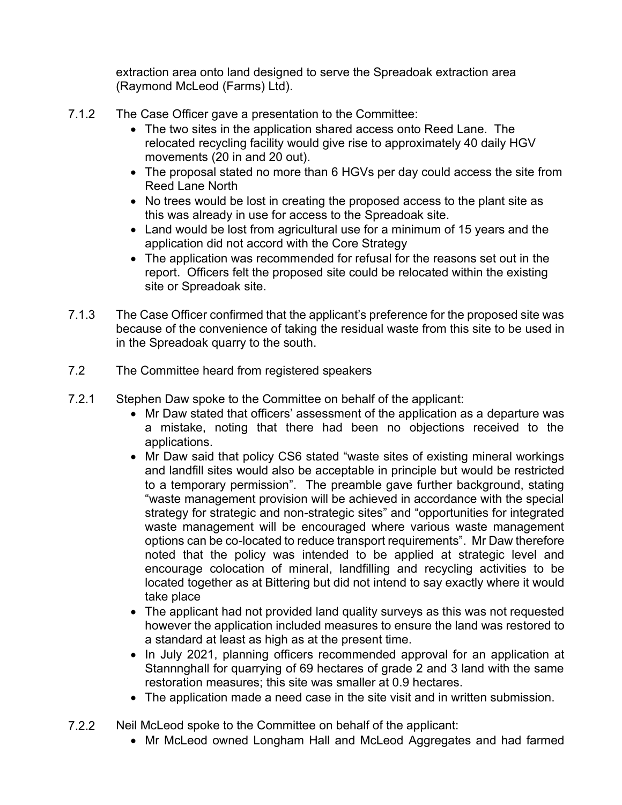extraction area onto land designed to serve the Spreadoak extraction area (Raymond McLeod (Farms) Ltd).

- 7.1.2 The Case Officer gave a presentation to the Committee:
	- The two sites in the application shared access onto Reed Lane. The relocated recycling facility would give rise to approximately 40 daily HGV movements (20 in and 20 out).
	- The proposal stated no more than 6 HGVs per day could access the site from Reed Lane North
	- No trees would be lost in creating the proposed access to the plant site as this was already in use for access to the Spreadoak site.
	- Land would be lost from agricultural use for a minimum of 15 years and the application did not accord with the Core Strategy
	- The application was recommended for refusal for the reasons set out in the report. Officers felt the proposed site could be relocated within the existing site or Spreadoak site.
- 7.1.3 The Case Officer confirmed that the applicant's preference for the proposed site was because of the convenience of taking the residual waste from this site to be used in in the Spreadoak quarry to the south.
- 7.2 The Committee heard from registered speakers
- 7.2.1 Stephen Daw spoke to the Committee on behalf of the applicant:
	- Mr Daw stated that officers' assessment of the application as a departure was a mistake, noting that there had been no objections received to the applications.
	- Mr Daw said that policy CS6 stated "waste sites of existing mineral workings and landfill sites would also be acceptable in principle but would be restricted to a temporary permission". The preamble gave further background, stating "waste management provision will be achieved in accordance with the special strategy for strategic and non-strategic sites" and "opportunities for integrated waste management will be encouraged where various waste management options can be co-located to reduce transport requirements". Mr Daw therefore noted that the policy was intended to be applied at strategic level and encourage colocation of mineral, landfilling and recycling activities to be located together as at Bittering but did not intend to say exactly where it would take place
	- The applicant had not provided land quality surveys as this was not requested however the application included measures to ensure the land was restored to a standard at least as high as at the present time.
	- In July 2021, planning officers recommended approval for an application at Stannnghall for quarrying of 69 hectares of grade 2 and 3 land with the same restoration measures; this site was smaller at 0.9 hectares.
	- The application made a need case in the site visit and in written submission.
- 7.2.2 Neil McLeod spoke to the Committee on behalf of the applicant:
	- Mr McLeod owned Longham Hall and McLeod Aggregates and had farmed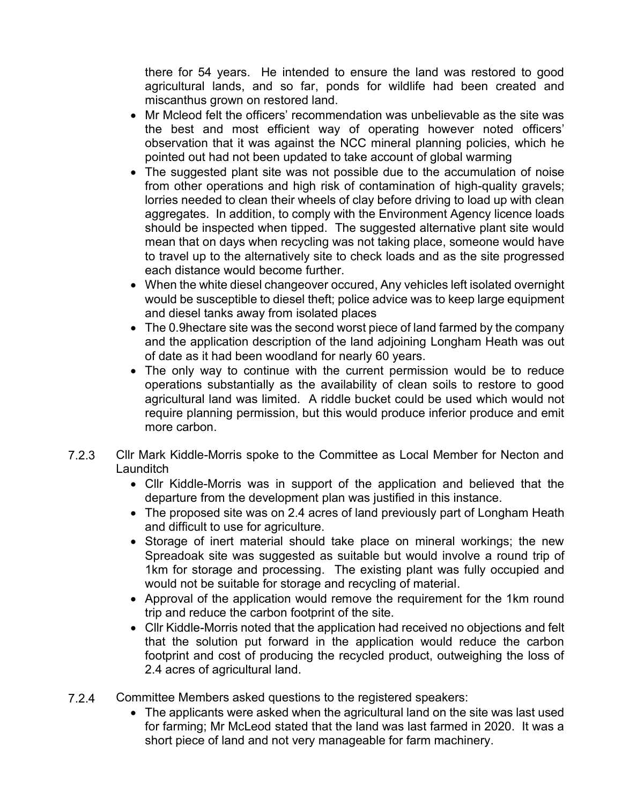there for 54 years. He intended to ensure the land was restored to good agricultural lands, and so far, ponds for wildlife had been created and miscanthus grown on restored land.

- Mr Mcleod felt the officers' recommendation was unbelievable as the site was the best and most efficient way of operating however noted officers' observation that it was against the NCC mineral planning policies, which he pointed out had not been updated to take account of global warming
- The suggested plant site was not possible due to the accumulation of noise from other operations and high risk of contamination of high-quality gravels; lorries needed to clean their wheels of clay before driving to load up with clean aggregates. In addition, to comply with the Environment Agency licence loads should be inspected when tipped. The suggested alternative plant site would mean that on days when recycling was not taking place, someone would have to travel up to the alternatively site to check loads and as the site progressed each distance would become further.
- When the white diesel changeover occured, Any vehicles left isolated overnight would be susceptible to diesel theft; police advice was to keep large equipment and diesel tanks away from isolated places
- The 0.9hectare site was the second worst piece of land farmed by the company and the application description of the land adjoining Longham Heath was out of date as it had been woodland for nearly 60 years.
- The only way to continue with the current permission would be to reduce operations substantially as the availability of clean soils to restore to good agricultural land was limited. A riddle bucket could be used which would not require planning permission, but this would produce inferior produce and emit more carbon.
- 7.2.3 Cllr Mark Kiddle-Morris spoke to the Committee as Local Member for Necton and **Launditch** 
	- Cllr Kiddle-Morris was in support of the application and believed that the departure from the development plan was justified in this instance.
	- The proposed site was on 2.4 acres of land previously part of Longham Heath and difficult to use for agriculture.
	- Storage of inert material should take place on mineral workings; the new Spreadoak site was suggested as suitable but would involve a round trip of 1km for storage and processing. The existing plant was fully occupied and would not be suitable for storage and recycling of material.
	- Approval of the application would remove the requirement for the 1km round trip and reduce the carbon footprint of the site.
	- Cllr Kiddle-Morris noted that the application had received no objections and felt that the solution put forward in the application would reduce the carbon footprint and cost of producing the recycled product, outweighing the loss of 2.4 acres of agricultural land.
- 7.2.4 Committee Members asked questions to the registered speakers:
	- The applicants were asked when the agricultural land on the site was last used for farming; Mr McLeod stated that the land was last farmed in 2020. It was a short piece of land and not very manageable for farm machinery.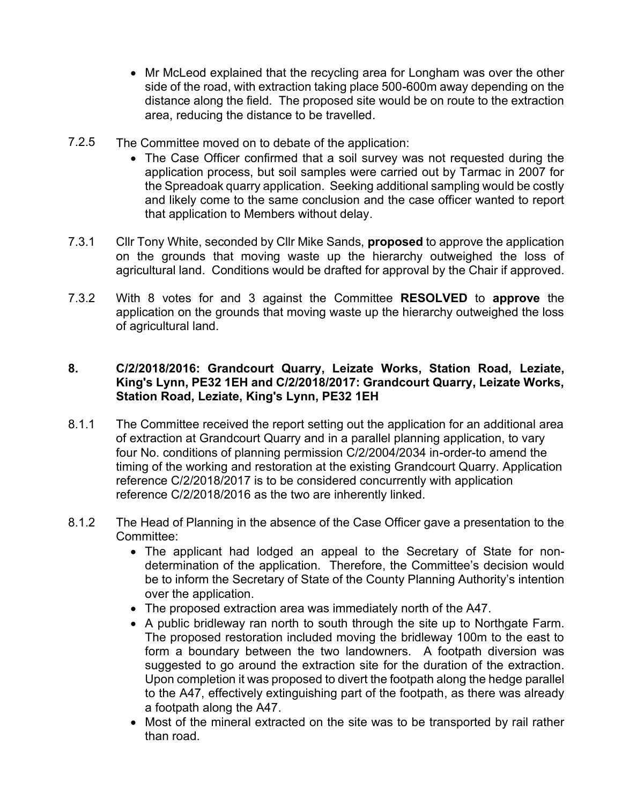- Mr McLeod explained that the recycling area for Longham was over the other side of the road, with extraction taking place 500-600m away depending on the distance along the field. The proposed site would be on route to the extraction area, reducing the distance to be travelled.
- 7.2.5 The Committee moved on to debate of the application:
	- The Case Officer confirmed that a soil survey was not requested during the application process, but soil samples were carried out by Tarmac in 2007 for the Spreadoak quarry application. Seeking additional sampling would be costly and likely come to the same conclusion and the case officer wanted to report that application to Members without delay.
- 7.3.1 Cllr Tony White, seconded by Cllr Mike Sands, **proposed** to approve the application on the grounds that moving waste up the hierarchy outweighed the loss of agricultural land. Conditions would be drafted for approval by the Chair if approved.
- 7.3.2 With 8 votes for and 3 against the Committee **RESOLVED** to **approve** the application on the grounds that moving waste up the hierarchy outweighed the loss of agricultural land.

## **8. C/2/2018/2016: Grandcourt Quarry, Leizate Works, Station Road, Leziate, King's Lynn, PE32 1EH and C/2/2018/2017: Grandcourt Quarry, Leizate Works, Station Road, Leziate, King's Lynn, PE32 1EH**

- 8.1.1 The Committee received the report setting out the application for an additional area of extraction at Grandcourt Quarry and in a parallel planning application, to vary four No. conditions of planning permission C/2/2004/2034 in-order-to amend the timing of the working and restoration at the existing Grandcourt Quarry. Application reference C/2/2018/2017 is to be considered concurrently with application reference C/2/2018/2016 as the two are inherently linked.
- 8.1.2 The Head of Planning in the absence of the Case Officer gave a presentation to the Committee:
	- The applicant had lodged an appeal to the Secretary of State for nondetermination of the application. Therefore, the Committee's decision would be to inform the Secretary of State of the County Planning Authority's intention over the application.
	- The proposed extraction area was immediately north of the A47.
	- A public bridleway ran north to south through the site up to Northgate Farm. The proposed restoration included moving the bridleway 100m to the east to form a boundary between the two landowners. A footpath diversion was suggested to go around the extraction site for the duration of the extraction. Upon completion it was proposed to divert the footpath along the hedge parallel to the A47, effectively extinguishing part of the footpath, as there was already a footpath along the A47.
	- Most of the mineral extracted on the site was to be transported by rail rather than road.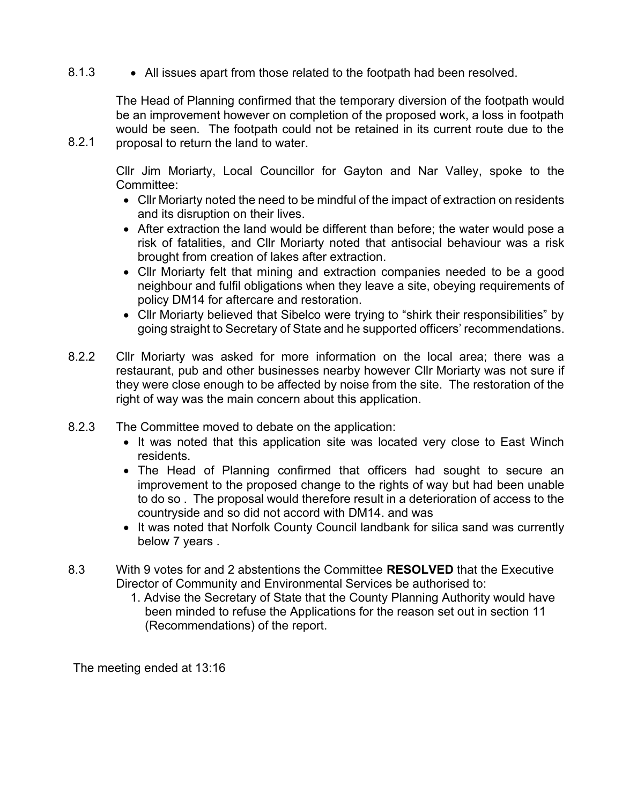8.1.3 • All issues apart from those related to the footpath had been resolved.

The Head of Planning confirmed that the temporary diversion of the footpath would be an improvement however on completion of the proposed work, a loss in footpath would be seen. The footpath could not be retained in its current route due to the proposal to return the land to water.

Cllr Jim Moriarty, Local Councillor for Gayton and Nar Valley, spoke to the Committee:

- Cllr Moriarty noted the need to be mindful of the impact of extraction on residents and its disruption on their lives.
- After extraction the land would be different than before; the water would pose a risk of fatalities, and Cllr Moriarty noted that antisocial behaviour was a risk brought from creation of lakes after extraction.
- Cllr Moriarty felt that mining and extraction companies needed to be a good neighbour and fulfil obligations when they leave a site, obeying requirements of policy DM14 for aftercare and restoration.
- Cllr Moriarty believed that Sibelco were trying to "shirk their responsibilities" by going straight to Secretary of State and he supported officers' recommendations.
- 8.2.2 Cllr Moriarty was asked for more information on the local area; there was a restaurant, pub and other businesses nearby however Cllr Moriarty was not sure if they were close enough to be affected by noise from the site. The restoration of the right of way was the main concern about this application.
- 8.2.3 The Committee moved to debate on the application:
	- It was noted that this application site was located very close to East Winch residents.
	- The Head of Planning confirmed that officers had sought to secure an improvement to the proposed change to the rights of way but had been unable to do so . The proposal would therefore result in a deterioration of access to the countryside and so did not accord with DM14. and was
	- It was noted that Norfolk County Council landbank for silica sand was currently below 7 years .
- 8.3 With 9 votes for and 2 abstentions the Committee **RESOLVED** that the Executive Director of Community and Environmental Services be authorised to:
	- 1. Advise the Secretary of State that the County Planning Authority would have been minded to refuse the Applications for the reason set out in section 11 (Recommendations) of the report.

The meeting ended at 13:16

8.2.1